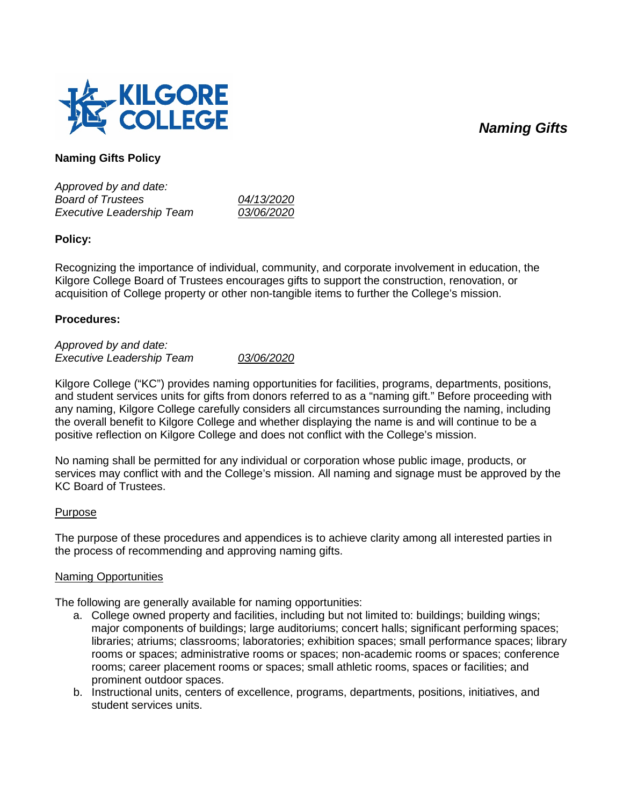# *Naming Gifts*



## **Naming Gifts Policy**

*Approved by and date: Board of Trustees 04/13/2020 Executive Leadership Team* 

### **Policy:**

Recognizing the importance of individual, community, and corporate involvement in education, the Kilgore College Board of Trustees encourages gifts to support the construction, renovation, or acquisition of College property or other non-tangible items to further the College's mission.

### **Procedures:**

*Approved by and date: Executive Leadership Team 03/06/2020*

Kilgore College ("KC") provides naming opportunities for facilities, programs, departments, positions, and student services units for gifts from donors referred to as a "naming gift." Before proceeding with any naming, Kilgore College carefully considers all circumstances surrounding the naming, including the overall benefit to Kilgore College and whether displaying the name is and will continue to be a positive reflection on Kilgore College and does not conflict with the College's mission.

No naming shall be permitted for any individual or corporation whose public image, products, or services may conflict with and the College's mission. All naming and signage must be approved by the KC Board of Trustees.

### Purpose

The purpose of these procedures and appendices is to achieve clarity among all interested parties in the process of recommending and approving naming gifts.

#### Naming Opportunities

The following are generally available for naming opportunities:

- a. College owned property and facilities, including but not limited to: buildings; building wings; major components of buildings; large auditoriums; concert halls; significant performing spaces; libraries; atriums; classrooms; laboratories; exhibition spaces; small performance spaces; library rooms or spaces; administrative rooms or spaces; non-academic rooms or spaces; conference rooms; career placement rooms or spaces; small athletic rooms, spaces or facilities; and prominent outdoor spaces.
- b. Instructional units, centers of excellence, programs, departments, positions, initiatives, and student services units.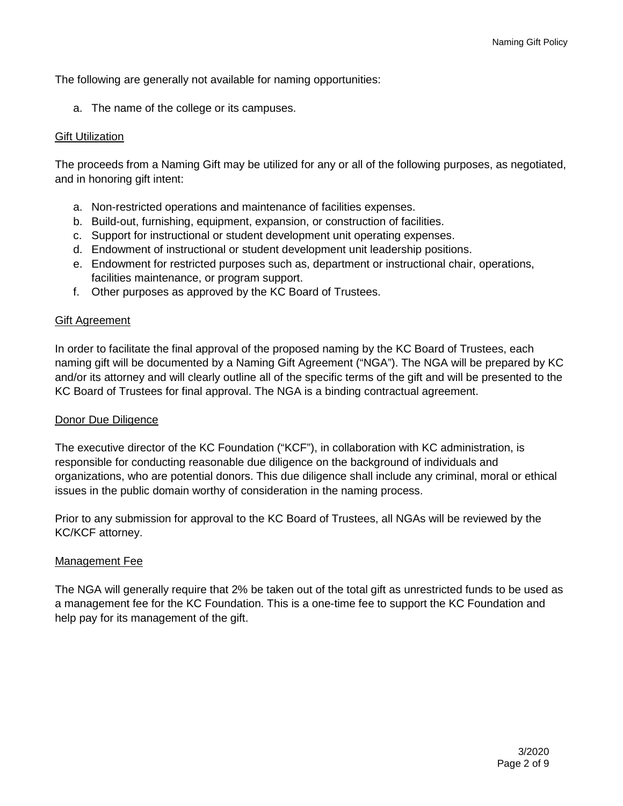The following are generally not available for naming opportunities:

a. The name of the college or its campuses.

#### Gift Utilization

The proceeds from a Naming Gift may be utilized for any or all of the following purposes, as negotiated, and in honoring gift intent:

- a. Non-restricted operations and maintenance of facilities expenses.
- b. Build-out, furnishing, equipment, expansion, or construction of facilities.
- c. Support for instructional or student development unit operating expenses.
- d. Endowment of instructional or student development unit leadership positions.
- e. Endowment for restricted purposes such as, department or instructional chair, operations, facilities maintenance, or program support.
- f. Other purposes as approved by the KC Board of Trustees.

#### Gift Agreement

In order to facilitate the final approval of the proposed naming by the KC Board of Trustees, each naming gift will be documented by a Naming Gift Agreement ("NGA"). The NGA will be prepared by KC and/or its attorney and will clearly outline all of the specific terms of the gift and will be presented to the KC Board of Trustees for final approval. The NGA is a binding contractual agreement.

#### Donor Due Diligence

The executive director of the KC Foundation ("KCF"), in collaboration with KC administration, is responsible for conducting reasonable due diligence on the background of individuals and organizations, who are potential donors. This due diligence shall include any criminal, moral or ethical issues in the public domain worthy of consideration in the naming process.

Prior to any submission for approval to the KC Board of Trustees, all NGAs will be reviewed by the KC/KCF attorney.

#### Management Fee

The NGA will generally require that 2% be taken out of the total gift as unrestricted funds to be used as a management fee for the KC Foundation. This is a one-time fee to support the KC Foundation and help pay for its management of the gift.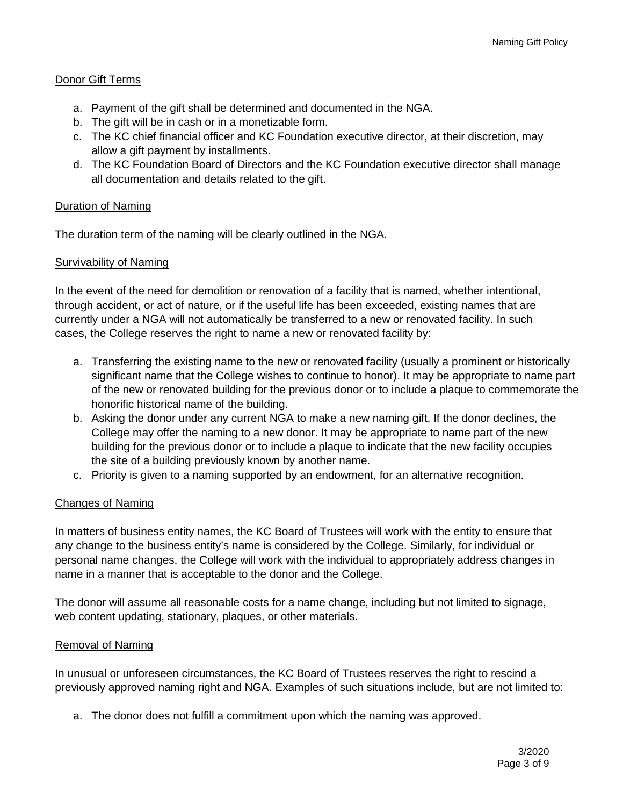## Donor Gift Terms

- a. Payment of the gift shall be determined and documented in the NGA.
- b. The gift will be in cash or in a monetizable form.
- c. The KC chief financial officer and KC Foundation executive director, at their discretion, may allow a gift payment by installments.
- d. The KC Foundation Board of Directors and the KC Foundation executive director shall manage all documentation and details related to the gift.

### Duration of Naming

The duration term of the naming will be clearly outlined in the NGA.

## Survivability of Naming

In the event of the need for demolition or renovation of a facility that is named, whether intentional, through accident, or act of nature, or if the useful life has been exceeded, existing names that are currently under a NGA will not automatically be transferred to a new or renovated facility. In such cases, the College reserves the right to name a new or renovated facility by:

- a. Transferring the existing name to the new or renovated facility (usually a prominent or historically significant name that the College wishes to continue to honor). It may be appropriate to name part of the new or renovated building for the previous donor or to include a plaque to commemorate the honorific historical name of the building.
- b. Asking the donor under any current NGA to make a new naming gift. If the donor declines, the College may offer the naming to a new donor. It may be appropriate to name part of the new building for the previous donor or to include a plaque to indicate that the new facility occupies the site of a building previously known by another name.
- c. Priority is given to a naming supported by an endowment, for an alternative recognition.

### Changes of Naming

In matters of business entity names, the KC Board of Trustees will work with the entity to ensure that any change to the business entity's name is considered by the College. Similarly, for individual or personal name changes, the College will work with the individual to appropriately address changes in name in a manner that is acceptable to the donor and the College.

The donor will assume all reasonable costs for a name change, including but not limited to signage, web content updating, stationary, plaques, or other materials.

### Removal of Naming

In unusual or unforeseen circumstances, the KC Board of Trustees reserves the right to rescind a previously approved naming right and NGA. Examples of such situations include, but are not limited to:

a. The donor does not fulfill a commitment upon which the naming was approved.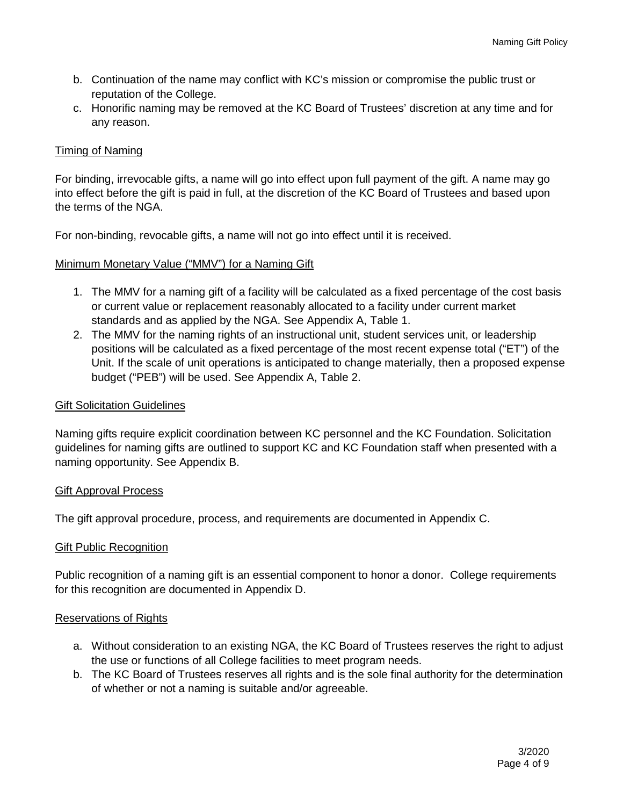- b. Continuation of the name may conflict with KC's mission or compromise the public trust or reputation of the College.
- c. Honorific naming may be removed at the KC Board of Trustees' discretion at any time and for any reason.

### Timing of Naming

For binding, irrevocable gifts, a name will go into effect upon full payment of the gift. A name may go into effect before the gift is paid in full, at the discretion of the KC Board of Trustees and based upon the terms of the NGA.

For non-binding, revocable gifts, a name will not go into effect until it is received.

### Minimum Monetary Value ("MMV") for a Naming Gift

- 1. The MMV for a naming gift of a facility will be calculated as a fixed percentage of the cost basis or current value or replacement reasonably allocated to a facility under current market standards and as applied by the NGA. See Appendix A, Table 1.
- 2. The MMV for the naming rights of an instructional unit, student services unit, or leadership positions will be calculated as a fixed percentage of the most recent expense total ("ET") of the Unit. If the scale of unit operations is anticipated to change materially, then a proposed expense budget ("PEB") will be used. See Appendix A, Table 2.

#### Gift Solicitation Guidelines

Naming gifts require explicit coordination between KC personnel and the KC Foundation. Solicitation guidelines for naming gifts are outlined to support KC and KC Foundation staff when presented with a naming opportunity. See Appendix B.

### Gift Approval Process

The gift approval procedure, process, and requirements are documented in Appendix C.

#### Gift Public Recognition

Public recognition of a naming gift is an essential component to honor a donor. College requirements for this recognition are documented in Appendix D.

### Reservations of Rights

- a. Without consideration to an existing NGA, the KC Board of Trustees reserves the right to adjust the use or functions of all College facilities to meet program needs.
- b. The KC Board of Trustees reserves all rights and is the sole final authority for the determination of whether or not a naming is suitable and/or agreeable.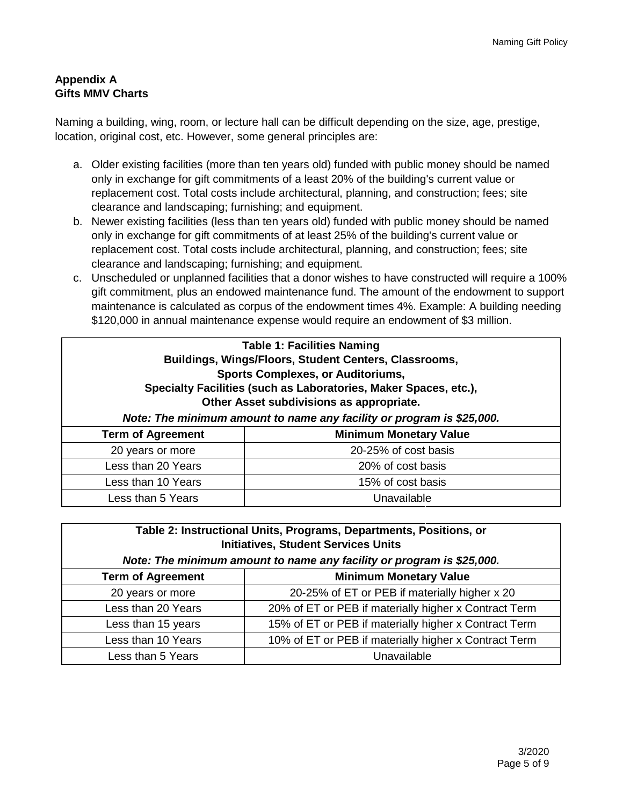## **Appendix A Gifts MMV Charts**

Naming a building, wing, room, or lecture hall can be difficult depending on the size, age, prestige, location, original cost, etc. However, some general principles are:

- a. Older existing facilities (more than ten years old) funded with public money should be named only in exchange for gift commitments of a least 20% of the building's current value or replacement cost. Total costs include architectural, planning, and construction; fees; site clearance and landscaping; furnishing; and equipment.
- b. Newer existing facilities (less than ten years old) funded with public money should be named only in exchange for gift commitments of at least 25% of the building's current value or replacement cost. Total costs include architectural, planning, and construction; fees; site clearance and landscaping; furnishing; and equipment.
- c. Unscheduled or unplanned facilities that a donor wishes to have constructed will require a 100% gift commitment, plus an endowed maintenance fund. The amount of the endowment to support maintenance is calculated as corpus of the endowment times 4%. Example: A building needing \$120,000 in annual maintenance expense would require an endowment of \$3 million.

| <b>Table 1: Facilities Naming</b><br>Buildings, Wings/Floors, Student Centers, Classrooms,<br><b>Sports Complexes, or Auditoriums,</b><br>Specialty Facilities (such as Laboratories, Maker Spaces, etc.),<br>Other Asset subdivisions as appropriate.<br>Note: The minimum amount to name any facility or program is \$25,000. |                               |
|---------------------------------------------------------------------------------------------------------------------------------------------------------------------------------------------------------------------------------------------------------------------------------------------------------------------------------|-------------------------------|
| <b>Term of Agreement</b>                                                                                                                                                                                                                                                                                                        | <b>Minimum Monetary Value</b> |
| 20 years or more                                                                                                                                                                                                                                                                                                                | 20-25% of cost basis          |
| Less than 20 Years                                                                                                                                                                                                                                                                                                              | 20% of cost basis             |
| Less than 10 Years                                                                                                                                                                                                                                                                                                              | 15% of cost basis             |
| Less than 5 Years                                                                                                                                                                                                                                                                                                               | Unavailable                   |

| Table 2: Instructional Units, Programs, Departments, Positions, or<br><b>Initiatives, Student Services Units</b><br>Note: The minimum amount to name any facility or program is \$25,000. |                                                       |
|-------------------------------------------------------------------------------------------------------------------------------------------------------------------------------------------|-------------------------------------------------------|
| <b>Term of Agreement</b>                                                                                                                                                                  | <b>Minimum Monetary Value</b>                         |
| 20 years or more                                                                                                                                                                          | 20-25% of ET or PEB if materially higher x 20         |
| Less than 20 Years                                                                                                                                                                        | 20% of ET or PEB if materially higher x Contract Term |
| Less than 15 years                                                                                                                                                                        | 15% of ET or PEB if materially higher x Contract Term |
| Less than 10 Years                                                                                                                                                                        | 10% of ET or PEB if materially higher x Contract Term |
| Less than 5 Years                                                                                                                                                                         | Unavailable                                           |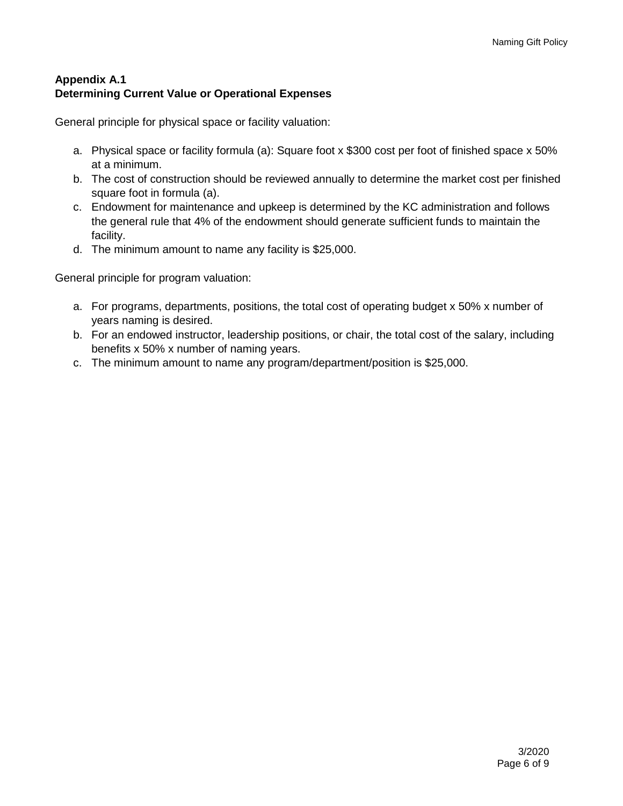## **Appendix A.1 Determining Current Value or Operational Expenses**

General principle for physical space or facility valuation:

- a. Physical space or facility formula (a): Square foot x \$300 cost per foot of finished space x 50% at a minimum.
- b. The cost of construction should be reviewed annually to determine the market cost per finished square foot in formula (a).
- c. Endowment for maintenance and upkeep is determined by the KC administration and follows the general rule that 4% of the endowment should generate sufficient funds to maintain the facility.
- d. The minimum amount to name any facility is \$25,000.

General principle for program valuation:

- a. For programs, departments, positions, the total cost of operating budget x 50% x number of years naming is desired.
- b. For an endowed instructor, leadership positions, or chair, the total cost of the salary, including benefits x 50% x number of naming years.
- c. The minimum amount to name any program/department/position is \$25,000.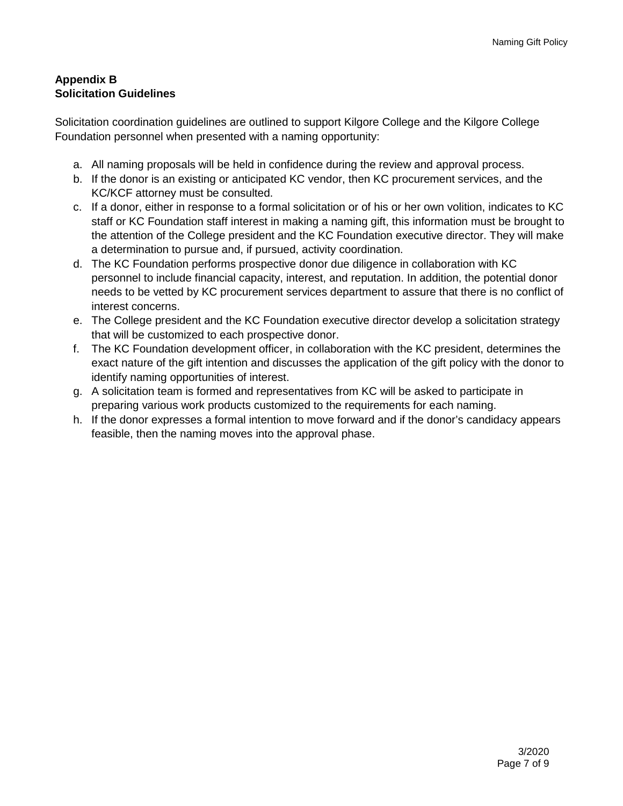## **Appendix B Solicitation Guidelines**

Solicitation coordination guidelines are outlined to support Kilgore College and the Kilgore College Foundation personnel when presented with a naming opportunity:

- a. All naming proposals will be held in confidence during the review and approval process.
- b. If the donor is an existing or anticipated KC vendor, then KC procurement services, and the KC/KCF attorney must be consulted.
- c. If a donor, either in response to a formal solicitation or of his or her own volition, indicates to KC staff or KC Foundation staff interest in making a naming gift, this information must be brought to the attention of the College president and the KC Foundation executive director. They will make a determination to pursue and, if pursued, activity coordination.
- d. The KC Foundation performs prospective donor due diligence in collaboration with KC personnel to include financial capacity, interest, and reputation. In addition, the potential donor needs to be vetted by KC procurement services department to assure that there is no conflict of interest concerns.
- e. The College president and the KC Foundation executive director develop a solicitation strategy that will be customized to each prospective donor.
- f. The KC Foundation development officer, in collaboration with the KC president, determines the exact nature of the gift intention and discusses the application of the gift policy with the donor to identify naming opportunities of interest.
- g. A solicitation team is formed and representatives from KC will be asked to participate in preparing various work products customized to the requirements for each naming.
- h. If the donor expresses a formal intention to move forward and if the donor's candidacy appears feasible, then the naming moves into the approval phase.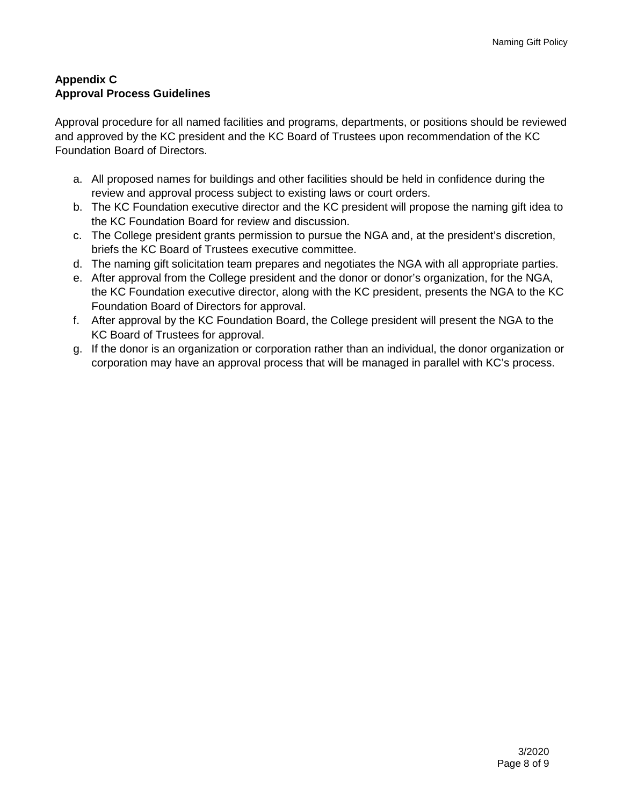## **Appendix C Approval Process Guidelines**

Approval procedure for all named facilities and programs, departments, or positions should be reviewed and approved by the KC president and the KC Board of Trustees upon recommendation of the KC Foundation Board of Directors.

- a. All proposed names for buildings and other facilities should be held in confidence during the review and approval process subject to existing laws or court orders.
- b. The KC Foundation executive director and the KC president will propose the naming gift idea to the KC Foundation Board for review and discussion.
- c. The College president grants permission to pursue the NGA and, at the president's discretion, briefs the KC Board of Trustees executive committee.
- d. The naming gift solicitation team prepares and negotiates the NGA with all appropriate parties.
- e. After approval from the College president and the donor or donor's organization, for the NGA, the KC Foundation executive director, along with the KC president, presents the NGA to the KC Foundation Board of Directors for approval.
- f. After approval by the KC Foundation Board, the College president will present the NGA to the KC Board of Trustees for approval.
- g. If the donor is an organization or corporation rather than an individual, the donor organization or corporation may have an approval process that will be managed in parallel with KC's process.